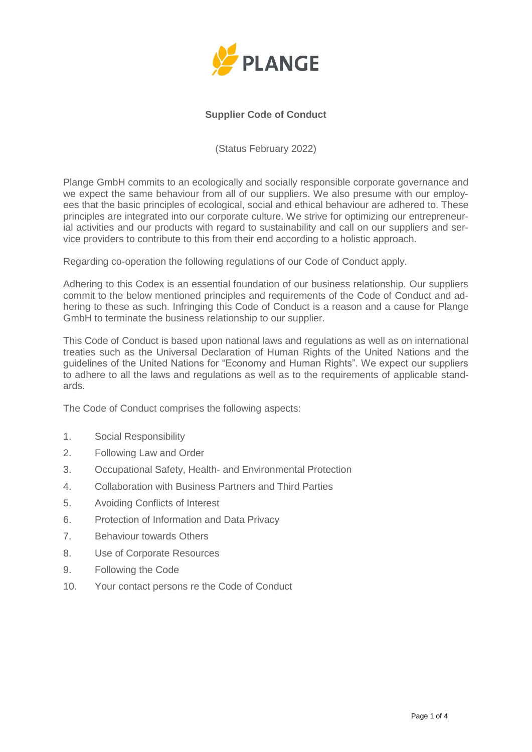

# **Supplier Code of Conduct**

(Status February 2022)

Plange GmbH commits to an ecologically and socially responsible corporate governance and we expect the same behaviour from all of our suppliers. We also presume with our employees that the basic principles of ecological, social and ethical behaviour are adhered to. These principles are integrated into our corporate culture. We strive for optimizing our entrepreneurial activities and our products with regard to sustainability and call on our suppliers and service providers to contribute to this from their end according to a holistic approach.

Regarding co-operation the following regulations of our Code of Conduct apply.

Adhering to this Codex is an essential foundation of our business relationship. Our suppliers commit to the below mentioned principles and requirements of the Code of Conduct and adhering to these as such. Infringing this Code of Conduct is a reason and a cause for Plange GmbH to terminate the business relationship to our supplier.

This Code of Conduct is based upon national laws and regulations as well as on international treaties such as the Universal Declaration of Human Rights of the United Nations and the guidelines of the United Nations for "Economy and Human Rights". We expect our suppliers to adhere to all the laws and regulations as well as to the requirements of applicable standards.

The Code of Conduct comprises the following aspects:

- 1. Social Responsibility
- 2. Following Law and Order
- 3. Occupational Safety, Health- and Environmental Protection
- 4. Collaboration with Business Partners and Third Parties
- 5. Avoiding Conflicts of Interest
- 6. Protection of Information and Data Privacy
- 7. Behaviour towards Others
- 8. Use of Corporate Resources
- 9. Following the Code
- 10. Your contact persons re the Code of Conduct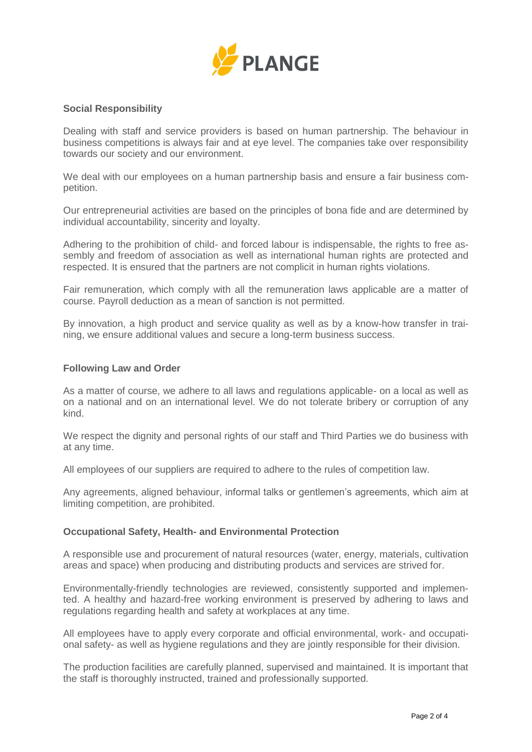

# **Social Responsibility**

Dealing with staff and service providers is based on human partnership. The behaviour in business competitions is always fair and at eye level. The companies take over responsibility towards our society and our environment.

We deal with our employees on a human partnership basis and ensure a fair business competition.

Our entrepreneurial activities are based on the principles of bona fide and are determined by individual accountability, sincerity and loyalty.

Adhering to the prohibition of child- and forced labour is indispensable, the rights to free assembly and freedom of association as well as international human rights are protected and respected. It is ensured that the partners are not complicit in human rights violations.

Fair remuneration, which comply with all the remuneration laws applicable are a matter of course. Payroll deduction as a mean of sanction is not permitted.

By innovation, a high product and service quality as well as by a know-how transfer in training, we ensure additional values and secure a long-term business success.

#### **Following Law and Order**

As a matter of course, we adhere to all laws and regulations applicable- on a local as well as on a national and on an international level. We do not tolerate bribery or corruption of any kind.

We respect the dignity and personal rights of our staff and Third Parties we do business with at any time.

All employees of our suppliers are required to adhere to the rules of competition law.

Any agreements, aligned behaviour, informal talks or gentlemen's agreements, which aim at limiting competition, are prohibited.

#### **Occupational Safety, Health- and Environmental Protection**

A responsible use and procurement of natural resources (water, energy, materials, cultivation areas and space) when producing and distributing products and services are strived for.

Environmentally-friendly technologies are reviewed, consistently supported and implemented. A healthy and hazard-free working environment is preserved by adhering to laws and regulations regarding health and safety at workplaces at any time.

All employees have to apply every corporate and official environmental, work- and occupational safety- as well as hygiene regulations and they are jointly responsible for their division.

The production facilities are carefully planned, supervised and maintained. It is important that the staff is thoroughly instructed, trained and professionally supported.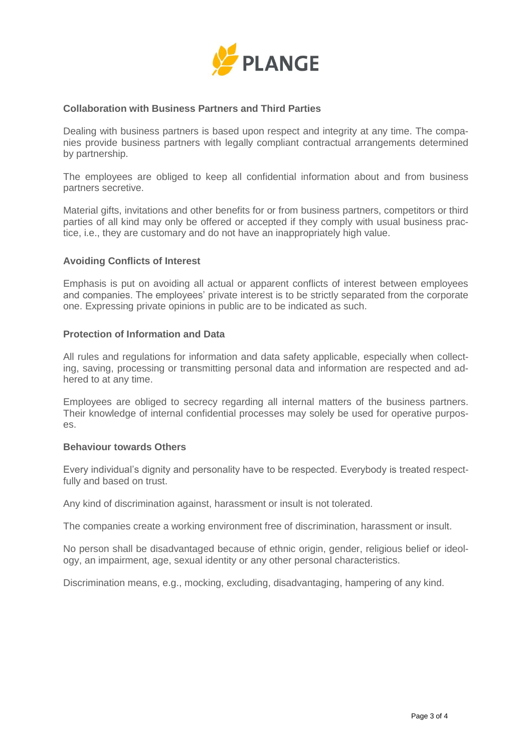

## **Collaboration with Business Partners and Third Parties**

Dealing with business partners is based upon respect and integrity at any time. The companies provide business partners with legally compliant contractual arrangements determined by partnership.

The employees are obliged to keep all confidential information about and from business partners secretive.

Material gifts, invitations and other benefits for or from business partners, competitors or third parties of all kind may only be offered or accepted if they comply with usual business practice, i.e., they are customary and do not have an inappropriately high value.

#### **Avoiding Conflicts of Interest**

Emphasis is put on avoiding all actual or apparent conflicts of interest between employees and companies. The employees' private interest is to be strictly separated from the corporate one. Expressing private opinions in public are to be indicated as such.

#### **Protection of Information and Data**

All rules and regulations for information and data safety applicable, especially when collecting, saving, processing or transmitting personal data and information are respected and adhered to at any time.

Employees are obliged to secrecy regarding all internal matters of the business partners. Their knowledge of internal confidential processes may solely be used for operative purposes.

#### **Behaviour towards Others**

Every individual's dignity and personality have to be respected. Everybody is treated respectfully and based on trust.

Any kind of discrimination against, harassment or insult is not tolerated.

The companies create a working environment free of discrimination, harassment or insult.

No person shall be disadvantaged because of ethnic origin, gender, religious belief or ideology, an impairment, age, sexual identity or any other personal characteristics.

Discrimination means, e.g., mocking, excluding, disadvantaging, hampering of any kind.